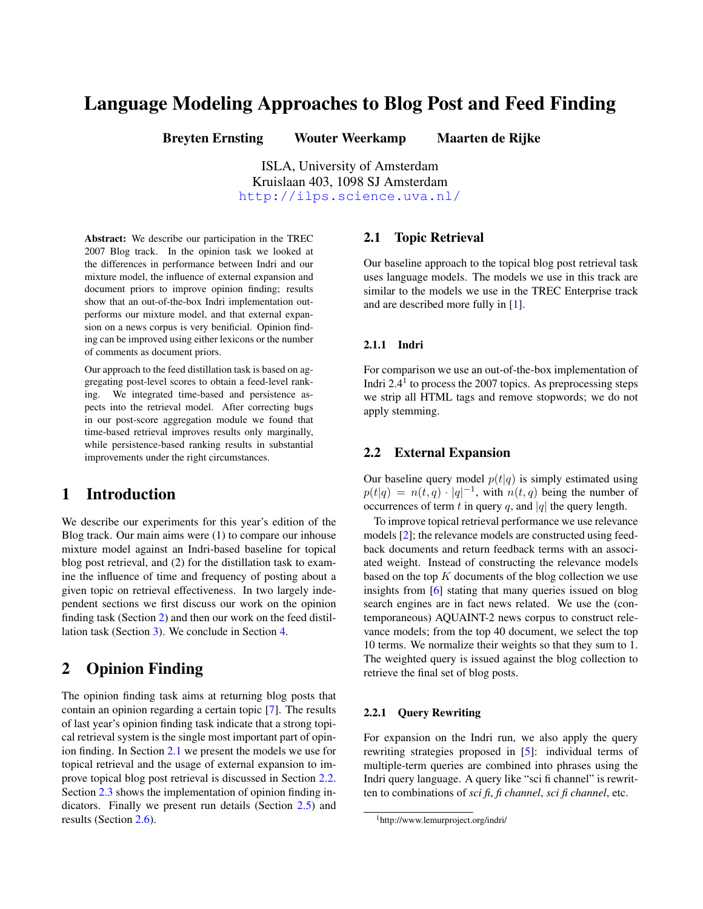# Language Modeling Approaches to Blog Post and Feed Finding

Breyten Ernsting Wouter Weerkamp Maarten de Rijke

ISLA, University of Amsterdam Kruislaan 403, 1098 SJ Amsterdam <http://ilps.science.uva.nl/>

Abstract: We describe our participation in the TREC 2007 Blog track. In the opinion task we looked at the differences in performance between Indri and our mixture model, the influence of external expansion and document priors to improve opinion finding; results show that an out-of-the-box Indri implementation outperforms our mixture model, and that external expansion on a news corpus is very benificial. Opinion finding can be improved using either lexicons or the number of comments as document priors.

Our approach to the feed distillation task is based on aggregating post-level scores to obtain a feed-level ranking. We integrated time-based and persistence aspects into the retrieval model. After correcting bugs in our post-score aggregation module we found that time-based retrieval improves results only marginally, while persistence-based ranking results in substantial improvements under the right circumstances.

## 1 Introduction

We describe our experiments for this year's edition of the Blog track. Our main aims were (1) to compare our inhouse mixture model against an Indri-based baseline for topical blog post retrieval, and (2) for the distillation task to examine the influence of time and frequency of posting about a given topic on retrieval effectiveness. In two largely independent sections we first discuss our work on the opinion finding task (Section [2\)](#page-0-0) and then our work on the feed distillation task (Section [3\)](#page-2-0). We conclude in Section [4.](#page-3-0)

## <span id="page-0-0"></span>2 Opinion Finding

The opinion finding task aims at returning blog posts that contain an opinion regarding a certain topic [\[7\]](#page-4-0). The results of last year's opinion finding task indicate that a strong topical retrieval system is the single most important part of opinion finding. In Section [2.1](#page-0-1) we present the models we use for topical retrieval and the usage of external expansion to improve topical blog post retrieval is discussed in Section [2.2.](#page-0-2) Section [2.3](#page-1-0) shows the implementation of opinion finding indicators. Finally we present run details (Section [2.5\)](#page-1-1) and results (Section [2.6\)](#page-1-2).

#### <span id="page-0-1"></span>2.1 Topic Retrieval

Our baseline approach to the topical blog post retrieval task uses language models. The models we use in this track are similar to the models we use in the TREC Enterprise track and are described more fully in [\[1\]](#page-4-1).

#### 2.1.1 Indri

For comparison we use an out-of-the-box implementation of Indri 2.4 $1$  to process the 2007 topics. As preprocessing steps we strip all HTML tags and remove stopwords; we do not apply stemming.

#### <span id="page-0-2"></span>2.2 External Expansion

Our baseline query model  $p(t|q)$  is simply estimated using  $p(t|q) = n(t,q) \cdot |q|^{-1}$ , with  $n(t,q)$  being the number of occurrences of term t in query q, and |q| the query length.

To improve topical retrieval performance we use relevance models [\[2\]](#page-4-2); the relevance models are constructed using feedback documents and return feedback terms with an associated weight. Instead of constructing the relevance models based on the top  $K$  documents of the blog collection we use insights from [\[6\]](#page-4-3) stating that many queries issued on blog search engines are in fact news related. We use the (contemporaneous) AQUAINT-2 news corpus to construct relevance models; from the top 40 document, we select the top 10 terms. We normalize their weights so that they sum to 1. The weighted query is issued against the blog collection to retrieve the final set of blog posts.

#### 2.2.1 Query Rewriting

For expansion on the Indri run, we also apply the query rewriting strategies proposed in [\[5\]](#page-4-4): individual terms of multiple-term queries are combined into phrases using the Indri query language. A query like "sci fi channel" is rewritten to combinations of *sci fi*, *fi channel*, *sci fi channel*, etc.

<sup>1</sup>http://www.lemurproject.org/indri/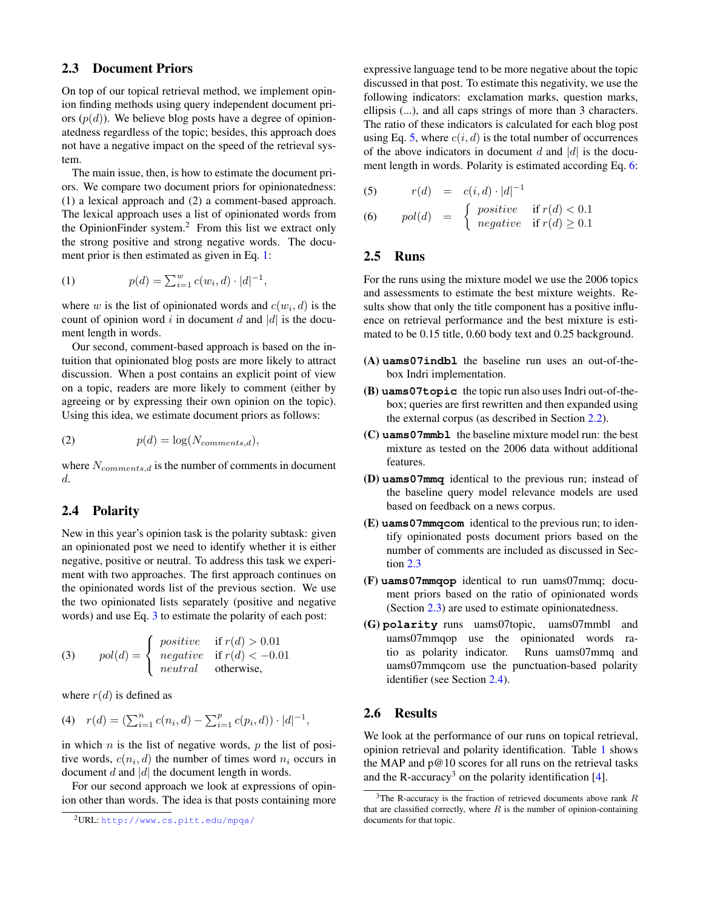### <span id="page-1-0"></span>2.3 Document Priors

On top of our topical retrieval method, we implement opinion finding methods using query independent document priors  $(p(d))$ . We believe blog posts have a degree of opinionatedness regardless of the topic; besides, this approach does not have a negative impact on the speed of the retrieval system.

The main issue, then, is how to estimate the document priors. We compare two document priors for opinionatedness: (1) a lexical approach and (2) a comment-based approach. The lexical approach uses a list of opinionated words from the OpinionFinder system. $2$  From this list we extract only the strong positive and strong negative words. The docu-ment prior is then estimated as given in Eq. [1:](#page-1-3)

<span id="page-1-3"></span>(1) 
$$
p(d) = \sum_{i=1}^{w} c(w_i, d) \cdot |d|^{-1},
$$

where w is the list of opinionated words and  $c(w_i, d)$  is the count of opinion word i in document d and  $|d|$  is the document length in words.

Our second, comment-based approach is based on the intuition that opinionated blog posts are more likely to attract discussion. When a post contains an explicit point of view on a topic, readers are more likely to comment (either by agreeing or by expressing their own opinion on the topic). Using this idea, we estimate document priors as follows:

$$
(2) \t\t p(d) = \log(N_{comments,d}),
$$

where  $N_{comments,d}$  is the number of comments in document d.

#### <span id="page-1-6"></span>2.4 Polarity

New in this year's opinion task is the polarity subtask: given an opinionated post we need to identify whether it is either negative, positive or neutral. To address this task we experiment with two approaches. The first approach continues on the opinionated words list of the previous section. We use the two opinionated lists separately (positive and negative words) and use Eq. [3](#page-1-4) to estimate the polarity of each post:

<span id="page-1-4"></span>(3) 
$$
pol(d) = \begin{cases} positive & \text{if } r(d) > 0.01\\ negative & \text{if } r(d) < -0.01\\neutral & \text{otherwise,} \end{cases}
$$

where  $r(d)$  is defined as

(4) 
$$
r(d) = (\sum_{i=1}^{n} c(n_i, d) - \sum_{i=1}^{p} c(p_i, d)) \cdot |d|^{-1}
$$
,

in which  $n$  is the list of negative words,  $p$  the list of positive words,  $c(n_i, d)$  the number of times word  $n_i$  occurs in document  $d$  and  $|d|$  the document length in words.

For our second approach we look at expressions of opinion other than words. The idea is that posts containing more expressive language tend to be more negative about the topic discussed in that post. To estimate this negativity, we use the following indicators: exclamation marks, question marks, ellipsis (...), and all caps strings of more than 3 characters. The ratio of these indicators is calculated for each blog post using Eq. [5,](#page-1-5) where  $c(i, d)$  is the total number of occurrences of the above indicators in document d and  $|d|$  is the docu-ment length in words. Polarity is estimated according Eq. [6:](#page-1-5)

(5) 
$$
r(d) = c(i, d) \cdot |d|^{-1}
$$

<span id="page-1-5"></span>(6) 
$$
pol(d) = \begin{cases} positive & \text{if } r(d) < 0.1\\ negative & \text{if } r(d) \ge 0.1 \end{cases}
$$

#### <span id="page-1-1"></span>2.5 Runs

For the runs using the mixture model we use the 2006 topics and assessments to estimate the best mixture weights. Results show that only the title component has a positive influence on retrieval performance and the best mixture is estimated to be 0.15 title, 0.60 body text and 0.25 background.

- (A) **uams07indbl** the baseline run uses an out-of-thebox Indri implementation.
- (B) **uams07topic** the topic run also uses Indri out-of-thebox; queries are first rewritten and then expanded using the external corpus (as described in Section [2.2\)](#page-0-2).
- (C) **uams07mmbl** the baseline mixture model run: the best mixture as tested on the 2006 data without additional features.
- (D) **uams07mmq** identical to the previous run; instead of the baseline query model relevance models are used based on feedback on a news corpus.
- (E) **uams07mmqcom** identical to the previous run; to identify opinionated posts document priors based on the number of comments are included as discussed in Section [2.3](#page-1-0)
- (F) **uams07mmqop** identical to run uams07mmq; document priors based on the ratio of opinionated words (Section [2.3\)](#page-1-0) are used to estimate opinionatedness.
- (G) **polarity** runs uams07topic, uams07mmbl and uams07mmqop use the opinionated words ratio as polarity indicator. Runs uams07mmq and uams07mmqcom use the punctuation-based polarity identifier (see Section [2.4\)](#page-1-6).

### <span id="page-1-2"></span>2.6 Results

We look at the performance of our runs on topical retrieval, opinion retrieval and polarity identification. Table [1](#page-2-1) shows the MAP and p@10 scores for all runs on the retrieval tasks and the R-accuracy<sup>3</sup> on the polarity identification  $[4]$ .

<sup>2</sup>URL: <http://www.cs.pitt.edu/mpqa/>

<sup>&</sup>lt;sup>3</sup>The R-accuracy is the fraction of retrieved documents above rank  $R$ that are classified correctly, where  $R$  is the number of opinion-containing documents for that topic.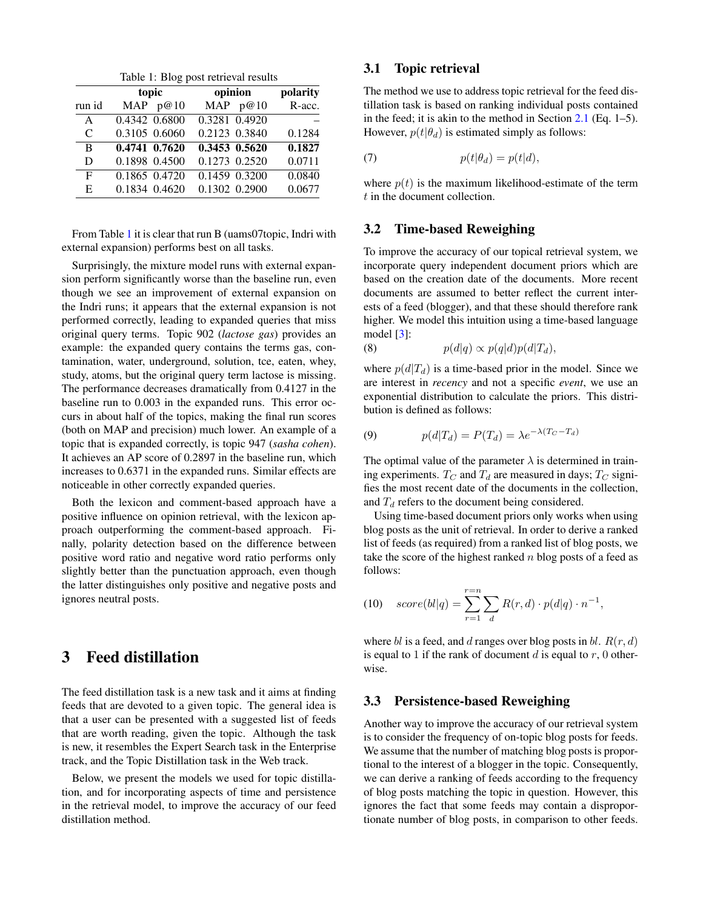<span id="page-2-1"></span>Table 1: Blog post retrieval results

|              |               | topic      | opinion       | polarity |
|--------------|---------------|------------|---------------|----------|
| run id       |               | MAP $p@10$ | MAP $p@10$    | R-acc.   |
| $\mathsf{A}$ | 0.4342 0.6800 |            | 0.3281 0.4920 |          |
| C            | 0.3105 0.6060 |            | 0.2123 0.3840 | 0.1284   |
| B            | 0.4741 0.7620 |            | 0.3453 0.5620 | 0.1827   |
| D            | 0.1898 0.4500 |            | 0.1273 0.2520 | 0.0711   |
| F            | 0.1865 0.4720 |            | 0.1459 0.3200 | 0.0840   |
| E            | 0.1834 0.4620 |            | 0.1302 0.2900 | 0.0677   |

From Table [1](#page-2-1) it is clear that run B (uams07topic, Indri with external expansion) performs best on all tasks.

Surprisingly, the mixture model runs with external expansion perform significantly worse than the baseline run, even though we see an improvement of external expansion on the Indri runs; it appears that the external expansion is not performed correctly, leading to expanded queries that miss original query terms. Topic 902 (*lactose gas*) provides an example: the expanded query contains the terms gas, contamination, water, underground, solution, tce, eaten, whey, study, atoms, but the original query term lactose is missing. The performance decreases dramatically from 0.4127 in the baseline run to 0.003 in the expanded runs. This error occurs in about half of the topics, making the final run scores (both on MAP and precision) much lower. An example of a topic that is expanded correctly, is topic 947 (*sasha cohen*). It achieves an AP score of 0.2897 in the baseline run, which increases to 0.6371 in the expanded runs. Similar effects are noticeable in other correctly expanded queries.

Both the lexicon and comment-based approach have a positive influence on opinion retrieval, with the lexicon approach outperforming the comment-based approach. Finally, polarity detection based on the difference between positive word ratio and negative word ratio performs only slightly better than the punctuation approach, even though the latter distinguishes only positive and negative posts and ignores neutral posts.

## <span id="page-2-0"></span>3 Feed distillation

The feed distillation task is a new task and it aims at finding feeds that are devoted to a given topic. The general idea is that a user can be presented with a suggested list of feeds that are worth reading, given the topic. Although the task is new, it resembles the Expert Search task in the Enterprise track, and the Topic Distillation task in the Web track.

Below, we present the models we used for topic distillation, and for incorporating aspects of time and persistence in the retrieval model, to improve the accuracy of our feed distillation method.

### <span id="page-2-2"></span>3.1 Topic retrieval

The method we use to address topic retrieval for the feed distillation task is based on ranking individual posts contained in the feed; it is akin to the method in Section [2.1](#page-0-1) (Eq. 1–5). However,  $p(t|\theta_d)$  is estimated simply as follows:

(7) 
$$
p(t|\theta_d) = p(t|d),
$$

where  $p(t)$  is the maximum likelihood-estimate of the term t in the document collection.

#### <span id="page-2-4"></span>3.2 Time-based Reweighing

To improve the accuracy of our topical retrieval system, we incorporate query independent document priors which are based on the creation date of the documents. More recent documents are assumed to better reflect the current interests of a feed (blogger), and that these should therefore rank higher. We model this intuition using a time-based language model [\[3\]](#page-4-6):

(8) 
$$
p(d|q) \propto p(q|d)p(d|T_d),
$$

where  $p(d|T_d)$  is a time-based prior in the model. Since we are interest in *recency* and not a specific *event*, we use an exponential distribution to calculate the priors. This distribution is defined as follows:

$$
(9) \t p(d|T_d) = P(T_d) = \lambda e^{-\lambda(T_C - T_d)}
$$

The optimal value of the parameter  $\lambda$  is determined in training experiments.  $T_C$  and  $T_d$  are measured in days;  $T_C$  signifies the most recent date of the documents in the collection, and  $T_d$  refers to the document being considered.

Using time-based document priors only works when using blog posts as the unit of retrieval. In order to derive a ranked list of feeds (as required) from a ranked list of blog posts, we take the score of the highest ranked  $n$  blog posts of a feed as follows:

<span id="page-2-3"></span>(10) 
$$
score(bl|q) = \sum_{r=1}^{r=n} \sum_{d} R(r,d) \cdot p(d|q) \cdot n^{-1},
$$

where bl is a feed, and d ranges over blog posts in bl.  $R(r, d)$ is equal to 1 if the rank of document  $d$  is equal to  $r$ , 0 otherwise.

#### <span id="page-2-5"></span>3.3 Persistence-based Reweighing

Another way to improve the accuracy of our retrieval system is to consider the frequency of on-topic blog posts for feeds. We assume that the number of matching blog posts is proportional to the interest of a blogger in the topic. Consequently, we can derive a ranking of feeds according to the frequency of blog posts matching the topic in question. However, this ignores the fact that some feeds may contain a disproportionate number of blog posts, in comparison to other feeds.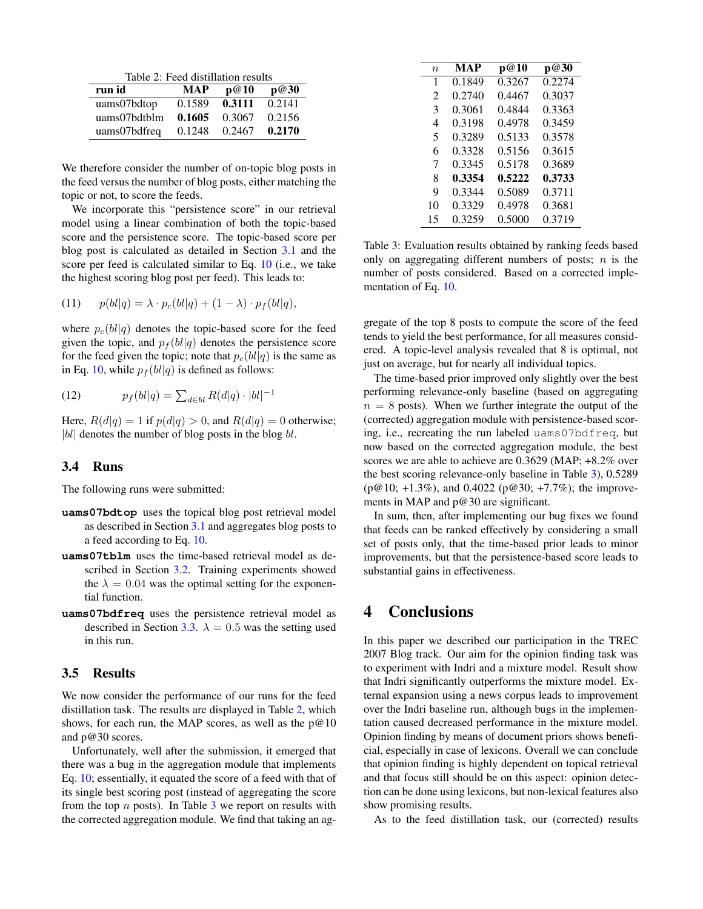<span id="page-3-1"></span>Table 2: Feed distillation results

| run id       | <b>MAP</b> | p@10   | p@30   |
|--------------|------------|--------|--------|
| uams07bdtop  | 0.1589     | 0.3111 | 0.2141 |
| uams07bdtblm | 0.1605     | 0.3067 | 0.2156 |
| uams07bdfreq | 0.1248     | 0.2467 | 0.2170 |

We therefore consider the number of on-topic blog posts in the feed versus the number of blog posts, either matching the topic or not, to score the feeds.

We incorporate this "persistence score" in our retrieval model using a linear combination of both the topic-based score and the persistence score. The topic-based score per blog post is calculated as detailed in Section [3.1](#page-2-2) and the score per feed is calculated similar to Eq. [10](#page-2-3) (i.e., we take the highest scoring blog post per feed). This leads to:

$$
(11) \qquad p(bl|q) = \lambda \cdot p_c(bl|q) + (1 - \lambda) \cdot p_f(bl|q),
$$

where  $p_c(bl|q)$  denotes the topic-based score for the feed given the topic, and  $p_f (bl|q)$  denotes the persistence score for the feed given the topic; note that  $p_c(bl|q)$  is the same as in Eq. [10,](#page-2-3) while  $p_f (bl|q)$  is defined as follows:

(12) 
$$
p_f(bl|q) = \sum_{d \in bl} R(d|q) \cdot |bl|^{-1}
$$

Here,  $R(d|q) = 1$  if  $p(d|q) > 0$ , and  $R(d|q) = 0$  otherwise;  $|bl|$  denotes the number of blog posts in the blog  $bl$ .

#### 3.4 Runs

The following runs were submitted:

- **uams07bdtop** uses the topical blog post retrieval model as described in Section [3.1](#page-2-2) and aggregates blog posts to a feed according to Eq. [10.](#page-2-3)
- **uams07tblm** uses the time-based retrieval model as described in Section [3.2.](#page-2-4) Training experiments showed the  $\lambda = 0.04$  was the optimal setting for the exponential function.
- **uams07bdfreq** uses the persistence retrieval model as described in Section [3.3.](#page-2-5)  $\lambda = 0.5$  was the setting used in this run.

#### 3.5 Results

We now consider the performance of our runs for the feed distillation task. The results are displayed in Table [2,](#page-3-1) which shows, for each run, the MAP scores, as well as the  $p@10$ and p@30 scores.

Unfortunately, well after the submission, it emerged that there was a bug in the aggregation module that implements Eq. [10;](#page-2-3) essentially, it equated the score of a feed with that of its single best scoring post (instead of aggregating the score from the top  $n$  posts). In Table [3](#page-3-2) we report on results with the corrected aggregation module. We find that taking an ag-

| n              | MAP    | p@10   | p@30   |
|----------------|--------|--------|--------|
| 1              | 0.1849 | 0.3267 | 0.2274 |
| $\mathfrak{D}$ | 0.2740 | 0.4467 | 0.3037 |
| 3              | 0.3061 | 0.4844 | 0.3363 |
| 4              | 0.3198 | 0.4978 | 0.3459 |
| 5              | 0.3289 | 0.5133 | 0.3578 |
| 6              | 0.3328 | 0.5156 | 0.3615 |
| 7              | 0.3345 | 0.5178 | 0.3689 |
| 8              | 0.3354 | 0.5222 | 0.3733 |
| 9              | 0.3344 | 0.5089 | 0.3711 |
| 10             | 0.3329 | 0.4978 | 0.3681 |
| 15             | 0.3259 | 0.5000 | 0.3719 |

<span id="page-3-2"></span>Table 3: Evaluation results obtained by ranking feeds based only on aggregating different numbers of posts;  $n$  is the number of posts considered. Based on a corrected implementation of Eq. [10.](#page-2-3)

gregate of the top 8 posts to compute the score of the feed tends to yield the best performance, for all measures considered. A topic-level analysis revealed that 8 is optimal, not just on average, but for nearly all individual topics.

The time-based prior improved only slightly over the best performing relevance-only baseline (based on aggregating  $n = 8$  posts). When we further integrate the output of the (corrected) aggregation module with persistence-based scoring, i.e., recreating the run labeled uams07bdfreq, but now based on the corrected aggregation module, the best scores we are able to achieve are 0.3629 (MAP; +8.2% over the best scoring relevance-only baseline in Table [3\)](#page-3-2), 0.5289 (p@10; +1.3%), and 0.4022 (p@30; +7.7%); the improvements in MAP and p@30 are significant.

In sum, then, after implementing our bug fixes we found that feeds can be ranked effectively by considering a small set of posts only, that the time-based prior leads to minor improvements, but that the persistence-based score leads to substantial gains in effectiveness.

### <span id="page-3-0"></span>4 Conclusions

In this paper we described our participation in the TREC 2007 Blog track. Our aim for the opinion finding task was to experiment with Indri and a mixture model. Result show that Indri significantly outperforms the mixture model. External expansion using a news corpus leads to improvement over the Indri baseline run, although bugs in the implementation caused decreased performance in the mixture model. Opinion finding by means of document priors shows beneficial, especially in case of lexicons. Overall we can conclude that opinion finding is highly dependent on topical retrieval and that focus still should be on this aspect: opinion detection can be done using lexicons, but non-lexical features also show promising results.

As to the feed distillation task, our (corrected) results